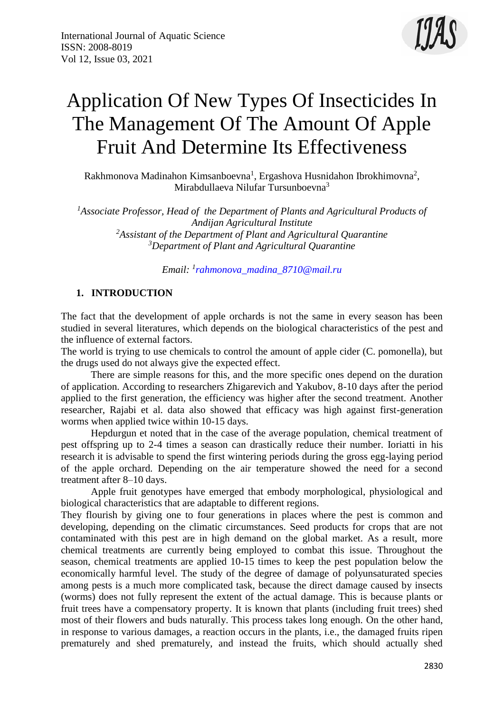

## Application Of New Types Of Insecticides In The Management Of The Amount Of Apple Fruit And Determine Its Effectiveness

Rakhmonova Madinahon Kimsanboevna<sup>1</sup>, Ergashova Husnidahon Ibrokhimovna<sup>2</sup>, Mirabdullaeva Nilufar Tursunboevna<sup>3</sup>

*Associate Professor, Head of the Department of Plants and Agricultural Products of Andijan Agricultural Institute Assistant of the Department of Plant and Agricultural Quarantine Department of Plant and Agricultural Quarantine*

*Email: 1 [rahmonova\\_madina\\_8710@mail.ru](mailto:rahmonova_madina_8710@mail.ru)*

## **1. INTRODUCTION**

The fact that the development of apple orchards is not the same in every season has been studied in several literatures, which depends on the biological characteristics of the pest and the influence of external factors.

The world is trying to use chemicals to control the amount of apple cider (C. pomonella), but the drugs used do not always give the expected effect.

There are simple reasons for this, and the more specific ones depend on the duration of application. According to researchers Zhigarevich and Yakubov, 8-10 days after the period applied to the first generation, the efficiency was higher after the second treatment. Another researcher, Rajabi et al. data also showed that efficacy was high against first-generation worms when applied twice within 10-15 days.

Hepdurgun et noted that in the case of the average population, chemical treatment of pest offspring up to 2-4 times a season can drastically reduce their number. Ioriatti in his research it is advisable to spend the first wintering periods during the gross egg-laying period of the apple orchard. Depending on the air temperature showed the need for a second treatment after 8–10 days.

Apple fruit genotypes have emerged that embody morphological, physiological and biological characteristics that are adaptable to different regions.

They flourish by giving one to four generations in places where the pest is common and developing, depending on the climatic circumstances. Seed products for crops that are not contaminated with this pest are in high demand on the global market. As a result, more chemical treatments are currently being employed to combat this issue. Throughout the season, chemical treatments are applied 10-15 times to keep the pest population below the economically harmful level. The study of the degree of damage of polyunsaturated species among pests is a much more complicated task, because the direct damage caused by insects (worms) does not fully represent the extent of the actual damage. This is because plants or fruit trees have a compensatory property. It is known that plants (including fruit trees) shed most of their flowers and buds naturally. This process takes long enough. On the other hand, in response to various damages, a reaction occurs in the plants, i.e., the damaged fruits ripen prematurely and shed prematurely, and instead the fruits, which should actually shed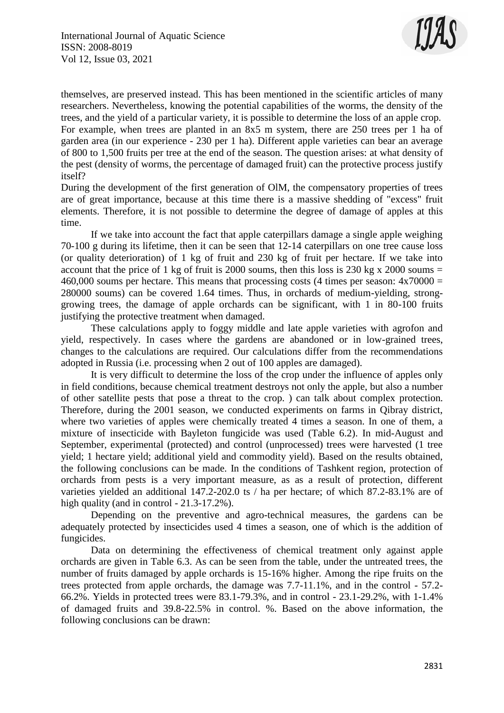

themselves, are preserved instead. This has been mentioned in the scientific articles of many researchers. Nevertheless, knowing the potential capabilities of the worms, the density of the trees, and the yield of a particular variety, it is possible to determine the loss of an apple crop. For example, when trees are planted in an 8x5 m system, there are 250 trees per 1 ha of garden area (in our experience - 230 per 1 ha). Different apple varieties can bear an average of 800 to 1,500 fruits per tree at the end of the season. The question arises: at what density of the pest (density of worms, the percentage of damaged fruit) can the protective process justify itself?

During the development of the first generation of OlM, the compensatory properties of trees are of great importance, because at this time there is a massive shedding of "excess" fruit elements. Therefore, it is not possible to determine the degree of damage of apples at this time.

If we take into account the fact that apple caterpillars damage a single apple weighing 70-100 g during its lifetime, then it can be seen that 12-14 caterpillars on one tree cause loss (or quality deterioration) of 1 kg of fruit and 230 kg of fruit per hectare. If we take into account that the price of 1 kg of fruit is 2000 soums, then this loss is 230 kg x 2000 soums = 460,000 soums per hectare. This means that processing costs (4 times per season:  $4x70000 =$ 280000 soums) can be covered 1.64 times. Thus, in orchards of medium-yielding, stronggrowing trees, the damage of apple orchards can be significant, with 1 in 80-100 fruits justifying the protective treatment when damaged.

These calculations apply to foggy middle and late apple varieties with agrofon and yield, respectively. In cases where the gardens are abandoned or in low-grained trees, changes to the calculations are required. Our calculations differ from the recommendations adopted in Russia (i.e. processing when 2 out of 100 apples are damaged).

It is very difficult to determine the loss of the crop under the influence of apples only in field conditions, because chemical treatment destroys not only the apple, but also a number of other satellite pests that pose a threat to the crop. ) can talk about complex protection. Therefore, during the 2001 season, we conducted experiments on farms in Qibray district, where two varieties of apples were chemically treated 4 times a season. In one of them, a mixture of insecticide with Bayleton fungicide was used (Table 6.2). In mid-August and September, experimental (protected) and control (unprocessed) trees were harvested (1 tree yield; 1 hectare yield; additional yield and commodity yield). Based on the results obtained, the following conclusions can be made. In the conditions of Tashkent region, protection of orchards from pests is a very important measure, as as a result of protection, different varieties yielded an additional 147.2-202.0 ts / ha per hectare; of which 87.2-83.1% are of high quality (and in control - 21.3-17.2%).

Depending on the preventive and agro-technical measures, the gardens can be adequately protected by insecticides used 4 times a season, one of which is the addition of fungicides.

Data on determining the effectiveness of chemical treatment only against apple orchards are given in Table 6.3. As can be seen from the table, under the untreated trees, the number of fruits damaged by apple orchards is 15-16% higher. Among the ripe fruits on the trees protected from apple orchards, the damage was 7.7-11.1%, and in the control - 57.2- 66.2%. Yields in protected trees were 83.1-79.3%, and in control - 23.1-29.2%, with 1-1.4% of damaged fruits and 39.8-22.5% in control. %. Based on the above information, the following conclusions can be drawn: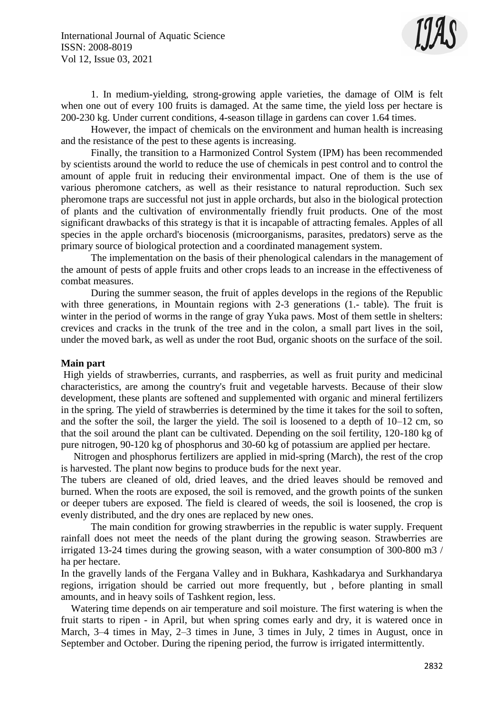

1. In medium-yielding, strong-growing apple varieties, the damage of OlM is felt when one out of every 100 fruits is damaged. At the same time, the yield loss per hectare is 200-230 kg. Under current conditions, 4-season tillage in gardens can cover 1.64 times.

However, the impact of chemicals on the environment and human health is increasing and the resistance of the pest to these agents is increasing.

Finally, the transition to a Harmonized Control System (IPM) has been recommended by scientists around the world to reduce the use of chemicals in pest control and to control the amount of apple fruit in reducing their environmental impact. One of them is the use of various pheromone catchers, as well as their resistance to natural reproduction. Such sex pheromone traps are successful not just in apple orchards, but also in the biological protection of plants and the cultivation of environmentally friendly fruit products. One of the most significant drawbacks of this strategy is that it is incapable of attracting females. Apples of all species in the apple orchard's biocenosis (microorganisms, parasites, predators) serve as the primary source of biological protection and a coordinated management system.

The implementation on the basis of their phenological calendars in the management of the amount of pests of apple fruits and other crops leads to an increase in the effectiveness of combat measures.

During the summer season, the fruit of apples develops in the regions of the Republic with three generations, in Mountain regions with 2-3 generations (1.- table). The fruit is winter in the period of worms in the range of gray Yuka paws. Most of them settle in shelters: crevices and cracks in the trunk of the tree and in the colon, a small part lives in the soil, under the moved bark, as well as under the root Bud, organic shoots on the surface of the soil.

## **Main part**

High yields of strawberries, currants, and raspberries, as well as fruit purity and medicinal characteristics, are among the country's fruit and vegetable harvests. Because of their slow development, these plants are softened and supplemented with organic and mineral fertilizers in the spring. The yield of strawberries is determined by the time it takes for the soil to soften, and the softer the soil, the larger the yield. The soil is loosened to a depth of 10–12 cm, so that the soil around the plant can be cultivated. Depending on the soil fertility, 120-180 kg of pure nitrogen, 90-120 kg of phosphorus and 30-60 kg of potassium are applied per hectare.

 Nitrogen and phosphorus fertilizers are applied in mid-spring (March), the rest of the crop is harvested. The plant now begins to produce buds for the next year.

The tubers are cleaned of old, dried leaves, and the dried leaves should be removed and burned. When the roots are exposed, the soil is removed, and the growth points of the sunken or deeper tubers are exposed. The field is cleared of weeds, the soil is loosened, the crop is evenly distributed, and the dry ones are replaced by new ones.

The main condition for growing strawberries in the republic is water supply. Frequent rainfall does not meet the needs of the plant during the growing season. Strawberries are irrigated 13-24 times during the growing season, with a water consumption of 300-800 m3 / ha per hectare.

In the gravelly lands of the Fergana Valley and in Bukhara, Kashkadarya and Surkhandarya regions, irrigation should be carried out more frequently, but , before planting in small amounts, and in heavy soils of Tashkent region, less.

 Watering time depends on air temperature and soil moisture. The first watering is when the fruit starts to ripen - in April, but when spring comes early and dry, it is watered once in March, 3–4 times in May, 2–3 times in June, 3 times in July, 2 times in August, once in September and October. During the ripening period, the furrow is irrigated intermittently.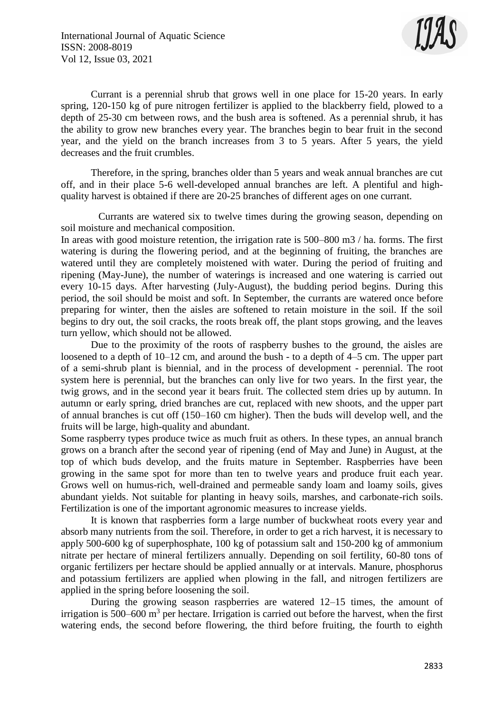

Currant is a perennial shrub that grows well in one place for 15-20 years. In early spring, 120-150 kg of pure nitrogen fertilizer is applied to the blackberry field, plowed to a depth of 25-30 cm between rows, and the bush area is softened. As a perennial shrub, it has the ability to grow new branches every year. The branches begin to bear fruit in the second year, and the yield on the branch increases from 3 to 5 years. After 5 years, the yield decreases and the fruit crumbles.

Therefore, in the spring, branches older than 5 years and weak annual branches are cut off, and in their place 5-6 well-developed annual branches are left. A plentiful and highquality harvest is obtained if there are 20-25 branches of different ages on one currant.

 Currants are watered six to twelve times during the growing season, depending on soil moisture and mechanical composition.

In areas with good moisture retention, the irrigation rate is 500–800 m3 / ha. forms. The first watering is during the flowering period, and at the beginning of fruiting, the branches are watered until they are completely moistened with water. During the period of fruiting and ripening (May-June), the number of waterings is increased and one watering is carried out every 10-15 days. After harvesting (July-August), the budding period begins. During this period, the soil should be moist and soft. In September, the currants are watered once before preparing for winter, then the aisles are softened to retain moisture in the soil. If the soil begins to dry out, the soil cracks, the roots break off, the plant stops growing, and the leaves turn yellow, which should not be allowed.

Due to the proximity of the roots of raspberry bushes to the ground, the aisles are loosened to a depth of 10–12 cm, and around the bush - to a depth of 4–5 cm. The upper part of a semi-shrub plant is biennial, and in the process of development - perennial. The root system here is perennial, but the branches can only live for two years. In the first year, the twig grows, and in the second year it bears fruit. The collected stem dries up by autumn. In autumn or early spring, dried branches are cut, replaced with new shoots, and the upper part of annual branches is cut off (150–160 cm higher). Then the buds will develop well, and the fruits will be large, high-quality and abundant.

Some raspberry types produce twice as much fruit as others. In these types, an annual branch grows on a branch after the second year of ripening (end of May and June) in August, at the top of which buds develop, and the fruits mature in September. Raspberries have been growing in the same spot for more than ten to twelve years and produce fruit each year. Grows well on humus-rich, well-drained and permeable sandy loam and loamy soils, gives abundant yields. Not suitable for planting in heavy soils, marshes, and carbonate-rich soils. Fertilization is one of the important agronomic measures to increase yields.

It is known that raspberries form a large number of buckwheat roots every year and absorb many nutrients from the soil. Therefore, in order to get a rich harvest, it is necessary to apply 500-600 kg of superphosphate, 100 kg of potassium salt and 150-200 kg of ammonium nitrate per hectare of mineral fertilizers annually. Depending on soil fertility, 60-80 tons of organic fertilizers per hectare should be applied annually or at intervals. Manure, phosphorus and potassium fertilizers are applied when plowing in the fall, and nitrogen fertilizers are applied in the spring before loosening the soil.

During the growing season raspberries are watered 12–15 times, the amount of irrigation is  $500-600$  m<sup>3</sup> per hectare. Irrigation is carried out before the harvest, when the first watering ends, the second before flowering, the third before fruiting, the fourth to eighth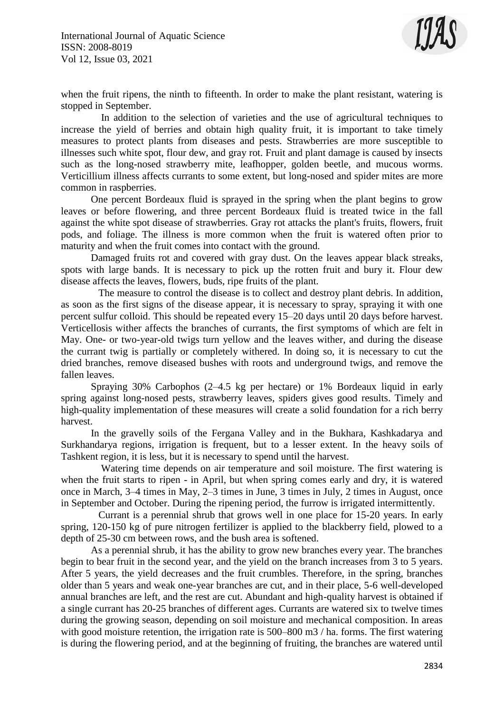

when the fruit ripens, the ninth to fifteenth. In order to make the plant resistant, watering is stopped in September.

 In addition to the selection of varieties and the use of agricultural techniques to increase the yield of berries and obtain high quality fruit, it is important to take timely measures to protect plants from diseases and pests. Strawberries are more susceptible to illnesses such white spot, flour dew, and gray rot. Fruit and plant damage is caused by insects such as the long-nosed strawberry mite, leafhopper, golden beetle, and mucous worms. Verticillium illness affects currants to some extent, but long-nosed and spider mites are more common in raspberries.

One percent Bordeaux fluid is sprayed in the spring when the plant begins to grow leaves or before flowering, and three percent Bordeaux fluid is treated twice in the fall against the white spot disease of strawberries. Gray rot attacks the plant's fruits, flowers, fruit pods, and foliage. The illness is more common when the fruit is watered often prior to maturity and when the fruit comes into contact with the ground.

Damaged fruits rot and covered with gray dust. On the leaves appear black streaks, spots with large bands. It is necessary to pick up the rotten fruit and bury it. Flour dew disease affects the leaves, flowers, buds, ripe fruits of the plant.

 The measure to control the disease is to collect and destroy plant debris. In addition, as soon as the first signs of the disease appear, it is necessary to spray, spraying it with one percent sulfur colloid. This should be repeated every 15–20 days until 20 days before harvest. Verticellosis wither affects the branches of currants, the first symptoms of which are felt in May. One- or two-year-old twigs turn yellow and the leaves wither, and during the disease the currant twig is partially or completely withered. In doing so, it is necessary to cut the dried branches, remove diseased bushes with roots and underground twigs, and remove the fallen leaves.

Spraying 30% Carbophos (2–4.5 kg per hectare) or 1% Bordeaux liquid in early spring against long-nosed pests, strawberry leaves, spiders gives good results. Timely and high-quality implementation of these measures will create a solid foundation for a rich berry harvest.

In the gravelly soils of the Fergana Valley and in the Bukhara, Kashkadarya and Surkhandarya regions, irrigation is frequent, but to a lesser extent. In the heavy soils of Tashkent region, it is less, but it is necessary to spend until the harvest.

 Watering time depends on air temperature and soil moisture. The first watering is when the fruit starts to ripen - in April, but when spring comes early and dry, it is watered once in March, 3–4 times in May, 2–3 times in June, 3 times in July, 2 times in August, once in September and October. During the ripening period, the furrow is irrigated intermittently.

 Currant is a perennial shrub that grows well in one place for 15-20 years. In early spring, 120-150 kg of pure nitrogen fertilizer is applied to the blackberry field, plowed to a depth of 25-30 cm between rows, and the bush area is softened.

As a perennial shrub, it has the ability to grow new branches every year. The branches begin to bear fruit in the second year, and the yield on the branch increases from 3 to 5 years. After 5 years, the yield decreases and the fruit crumbles. Therefore, in the spring, branches older than 5 years and weak one-year branches are cut, and in their place, 5-6 well-developed annual branches are left, and the rest are cut. Abundant and high-quality harvest is obtained if a single currant has 20-25 branches of different ages. Currants are watered six to twelve times during the growing season, depending on soil moisture and mechanical composition. In areas with good moisture retention, the irrigation rate is 500–800 m3 / ha. forms. The first watering is during the flowering period, and at the beginning of fruiting, the branches are watered until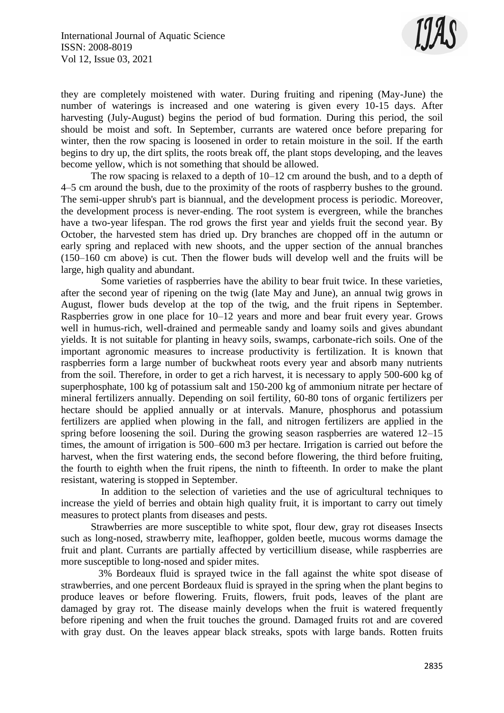

they are completely moistened with water. During fruiting and ripening (May-June) the number of waterings is increased and one watering is given every 10-15 days. After harvesting (July-August) begins the period of bud formation. During this period, the soil should be moist and soft. In September, currants are watered once before preparing for winter, then the row spacing is loosened in order to retain moisture in the soil. If the earth begins to dry up, the dirt splits, the roots break off, the plant stops developing, and the leaves become yellow, which is not something that should be allowed.

The row spacing is relaxed to a depth of 10–12 cm around the bush, and to a depth of 4–5 cm around the bush, due to the proximity of the roots of raspberry bushes to the ground. The semi-upper shrub's part is biannual, and the development process is periodic. Moreover, the development process is never-ending. The root system is evergreen, while the branches have a two-year lifespan. The rod grows the first year and yields fruit the second year. By October, the harvested stem has dried up. Dry branches are chopped off in the autumn or early spring and replaced with new shoots, and the upper section of the annual branches (150–160 cm above) is cut. Then the flower buds will develop well and the fruits will be large, high quality and abundant.

 Some varieties of raspberries have the ability to bear fruit twice. In these varieties, after the second year of ripening on the twig (late May and June), an annual twig grows in August, flower buds develop at the top of the twig, and the fruit ripens in September. Raspberries grow in one place for 10–12 years and more and bear fruit every year. Grows well in humus-rich, well-drained and permeable sandy and loamy soils and gives abundant yields. It is not suitable for planting in heavy soils, swamps, carbonate-rich soils. One of the important agronomic measures to increase productivity is fertilization. It is known that raspberries form a large number of buckwheat roots every year and absorb many nutrients from the soil. Therefore, in order to get a rich harvest, it is necessary to apply 500-600 kg of superphosphate, 100 kg of potassium salt and 150-200 kg of ammonium nitrate per hectare of mineral fertilizers annually. Depending on soil fertility, 60-80 tons of organic fertilizers per hectare should be applied annually or at intervals. Manure, phosphorus and potassium fertilizers are applied when plowing in the fall, and nitrogen fertilizers are applied in the spring before loosening the soil. During the growing season raspberries are watered 12–15 times, the amount of irrigation is 500–600 m3 per hectare. Irrigation is carried out before the harvest, when the first watering ends, the second before flowering, the third before fruiting, the fourth to eighth when the fruit ripens, the ninth to fifteenth. In order to make the plant resistant, watering is stopped in September.

 In addition to the selection of varieties and the use of agricultural techniques to increase the yield of berries and obtain high quality fruit, it is important to carry out timely measures to protect plants from diseases and pests.

Strawberries are more susceptible to white spot, flour dew, gray rot diseases Insects such as long-nosed, strawberry mite, leafhopper, golden beetle, mucous worms damage the fruit and plant. Currants are partially affected by verticillium disease, while raspberries are more susceptible to long-nosed and spider mites.

 3% Bordeaux fluid is sprayed twice in the fall against the white spot disease of strawberries, and one percent Bordeaux fluid is sprayed in the spring when the plant begins to produce leaves or before flowering. Fruits, flowers, fruit pods, leaves of the plant are damaged by gray rot. The disease mainly develops when the fruit is watered frequently before ripening and when the fruit touches the ground. Damaged fruits rot and are covered with gray dust. On the leaves appear black streaks, spots with large bands. Rotten fruits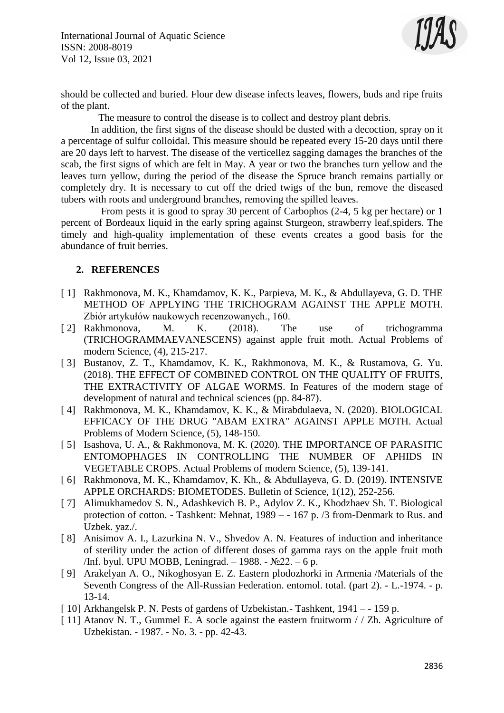International Journal of Aquatic Science ISSN: 2008-8019 Vol 12, Issue 03, 2021



should be collected and buried. Flour dew disease infects leaves, flowers, buds and ripe fruits of the plant.

The measure to control the disease is to collect and destroy plant debris.

In addition, the first signs of the disease should be dusted with a decoction, spray on it a percentage of sulfur colloidal. This measure should be repeated every 15-20 days until there are 20 days left to harvest. The disease of the verticellez sagging damages the branches of the scab, the first signs of which are felt in May. A year or two the branches turn yellow and the leaves turn yellow, during the period of the disease the Spruce branch remains partially or completely dry. It is necessary to cut off the dried twigs of the bun, remove the diseased tubers with roots and underground branches, removing the spilled leaves.

 From pests it is good to spray 30 percent of Carbophos (2-4, 5 kg per hectare) or 1 percent of Bordeaux liquid in the early spring against Sturgeon, strawberry leaf,spiders. The timely and high-quality implementation of these events creates a good basis for the abundance of fruit berries.

## **2. REFERENCES**

- [ 1] Rakhmonova, M. K., Khamdamov, K. K., Parpieva, M. K., & Abdullayeva, G. D. THE METHOD OF APPLYING THE TRICHOGRAM AGAINST THE APPLE MOTH. Zbiór artykułów naukowych recenzowanych., 160.
- [2] Rakhmonova, M. K. (2018). The use of trichogramma (TRICHOGRAMMAEVANESCENS) against apple fruit moth. Actual Problems of modern Science, (4), 215-217.
- [ 3] Bustanov, Z. T., Khamdamov, K. K., Rakhmonova, M. K., & Rustamova, G. Yu. (2018). THE EFFECT OF COMBINED CONTROL ON THE QUALITY OF FRUITS, THE EXTRACTIVITY OF ALGAE WORMS. In Features of the modern stage of development of natural and technical sciences (pp. 84-87).
- [ 4] Rakhmonova, M. K., Khamdamov, K. K., & Mirabdulaeva, N. (2020). BIOLOGICAL EFFICACY OF THE DRUG "ABAM EXTRA" AGAINST APPLE MOTH. Actual Problems of Modern Science, (5), 148-150.
- [ 5] Isashova, U. A., & Rakhmonova, M. K. (2020). THE IMPORTANCE OF PARASITIC ENTOMOPHAGES IN CONTROLLING THE NUMBER OF APHIDS IN VEGETABLE CROPS. Actual Problems of modern Science, (5), 139-141.
- [ 6] Rakhmonova, M. K., Khamdamov, K. Kh., & Abdullayeva, G. D. (2019). INTENSIVE APPLE ORCHARDS: BIOMETODES. Bulletin of Science, 1(12), 252-256.
- [ 7] Alimukhamedov S. N., Adashkevich B. P., Adylov Z. K., Khodzhaev Sh. T. Biological protection of cotton. - Tashkent: Mehnat, 1989 – - 167 p. /3 from-Denmark to Rus. and Uzbek. yaz./.
- [ 8] Anisimov A. I., Lazurkina N. V., Shvedov A. N. Features of induction and inheritance of sterility under the action of different doses of gamma rays on the apple fruit moth /Inf. byul. UPU MOBB, Leningrad. – 1988. -  $\mathcal{N}$ <sup>o</sup>22. – 6 p.
- [ 9] Arakelyan A. O., Nikoghosyan E. Z. Eastern plodozhorki in Armenia /Materials of the Seventh Congress of the All-Russian Federation. entomol. total. (part 2). - L.-1974. - p. 13-14.
- [ 10] Arkhangelsk P. N. Pests of gardens of Uzbekistan.- Tashkent, 1941 - 159 p.
- [ 11] Atanov N. T., Gummel E. A socle against the eastern fruitworm / / Zh. Agriculture of Uzbekistan. - 1987. - No. 3. - pp. 42-43.